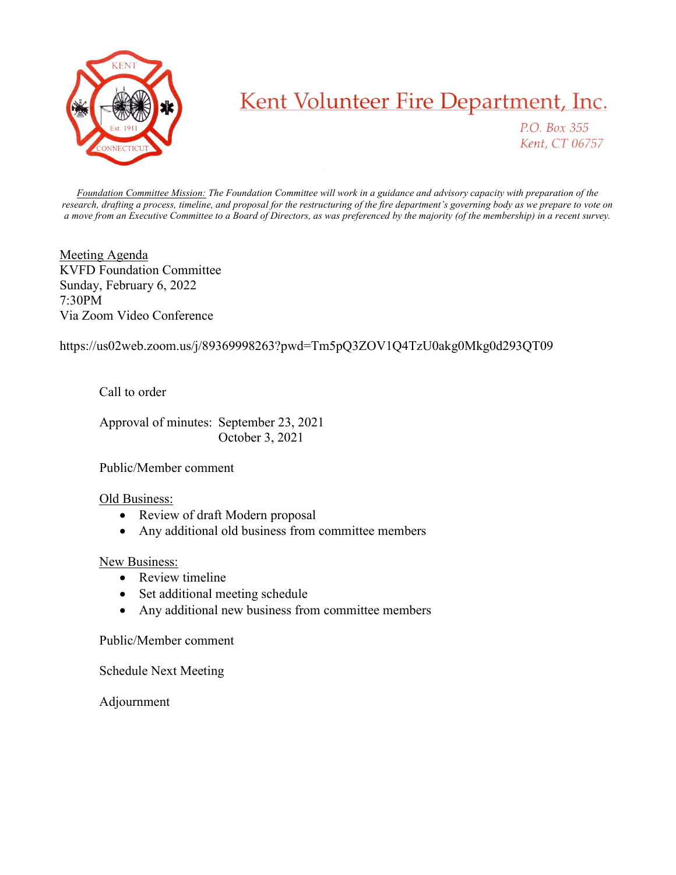

## Kent Volunteer Fire Department, Inc.

P.O. Box 355 Kent, CT 06757

Foundation Committee Mission: The Foundation Committee will work in a guidance and advisory capacity with preparation of the research, drafting a process, timeline, and proposal for the restructuring of the fire department's governing body as we prepare to vote on a move from an Executive Committee to a Board of Directors, as was preferenced by the majority (of the membership) in a recent survey.

Meeting Agenda KVFD Foundation Committee Sunday, February 6, 2022 7:30PM Via Zoom Video Conference

https://us02web.zoom.us/j/89369998263?pwd=Tm5pQ3ZOV1Q4TzU0akg0Mkg0d293QT09

Call to order

 Approval of minutes: September 23, 2021 October 3, 2021

Public/Member comment

## Old Business:

- Review of draft Modern proposal
- Any additional old business from committee members

## New Business:

- Review timeline
- Set additional meeting schedule
- Any additional new business from committee members

Public/Member comment

Schedule Next Meeting

Adjournment